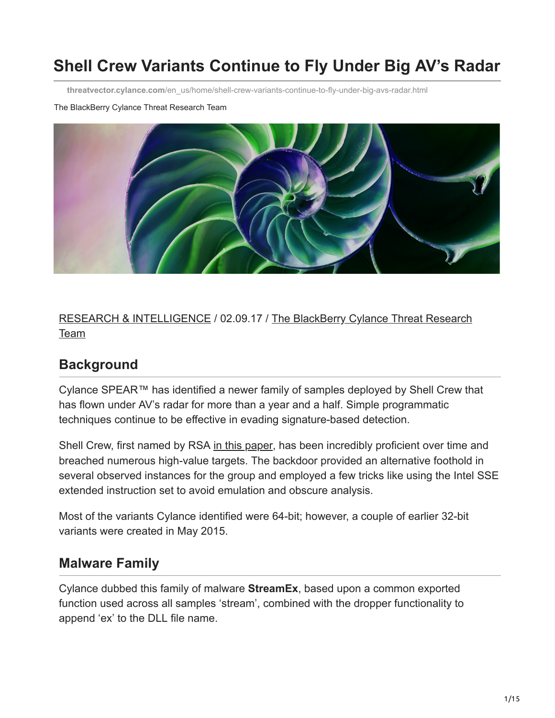# **Shell Crew Variants Continue to Fly Under Big AV's Radar**

**threatvector.cylance.com**[/en\\_us/home/shell-crew-variants-continue-to-fly-under-big-avs-radar.html](https://threatvector.cylance.com/en_us/home/shell-crew-variants-continue-to-fly-under-big-avs-radar.html)

#### The BlackBerry Cylance Threat Research Team



[RESEARCH & INTELLIGENCE](https://threatvector.cylance.com/en/category/research-and-intelligence) [/ 02.09.17 / The BlackBerry Cylance Threat Research](https://threatvector.cylance.com/en/author/the-cylance-threat-research-team) Team

### **Background**

Cylance SPEAR™ has identified a newer family of samples deployed by Shell Crew that has flown under AV's radar for more than a year and a half. Simple programmatic techniques continue to be effective in evading signature-based detection.

Shell Crew, first named by RSA [in this paper](https://www.emc.com/collateral/white-papers/h12756-wp-shell-crew.pdf), has been incredibly proficient over time and breached numerous high-value targets. The backdoor provided an alternative foothold in several observed instances for the group and employed a few tricks like using the Intel SSE extended instruction set to avoid emulation and obscure analysis.

Most of the variants Cylance identified were 64-bit; however, a couple of earlier 32-bit variants were created in May 2015.

### **Malware Family**

Cylance dubbed this family of malware **StreamEx**, based upon a common exported function used across all samples 'stream', combined with the dropper functionality to append 'ex' to the DLL file name.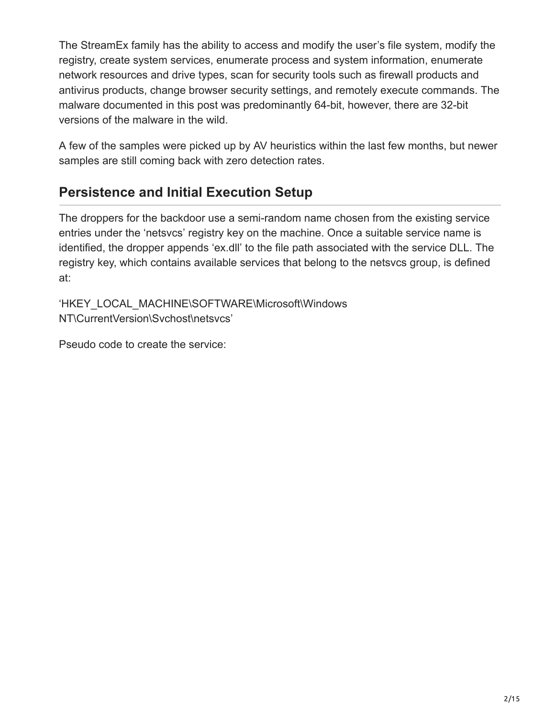The StreamEx family has the ability to access and modify the user's file system, modify the registry, create system services, enumerate process and system information, enumerate network resources and drive types, scan for security tools such as firewall products and antivirus products, change browser security settings, and remotely execute commands. The malware documented in this post was predominantly 64-bit, however, there are 32-bit versions of the malware in the wild.

A few of the samples were picked up by AV heuristics within the last few months, but newer samples are still coming back with zero detection rates.

### **Persistence and Initial Execution Setup**

The droppers for the backdoor use a semi-random name chosen from the existing service entries under the 'netsvcs' registry key on the machine. Once a suitable service name is identified, the dropper appends 'ex.dll' to the file path associated with the service DLL. The registry key, which contains available services that belong to the netsvcs group, is defined at:

'HKEY\_LOCAL\_MACHINE\SOFTWARE\Microsoft\Windows NT\CurrentVersion\Svchost\netsvcs'

Pseudo code to create the service: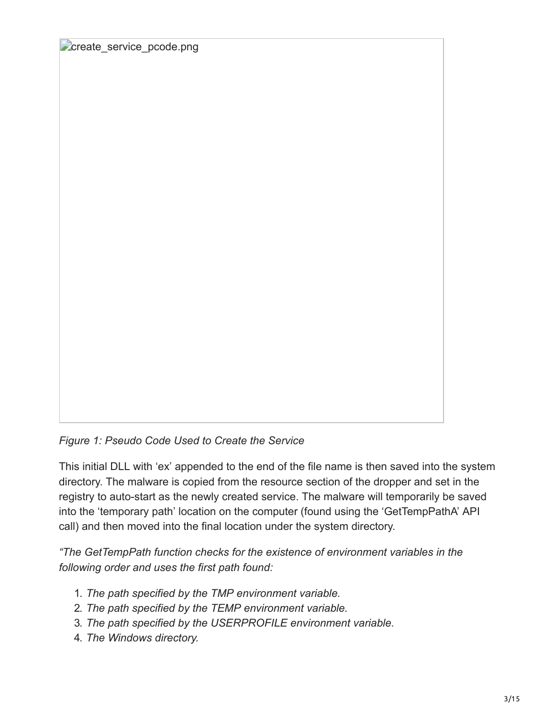create service pcode.png

*Figure 1: Pseudo Code Used to Create the Service*

This initial DLL with 'ex' appended to the end of the file name is then saved into the system directory. The malware is copied from the resource section of the dropper and set in the registry to auto-start as the newly created service. The malware will temporarily be saved into the 'temporary path' location on the computer (found using the 'GetTempPathA' API call) and then moved into the final location under the system directory.

*"The GetTempPath function checks for the existence of environment variables in the following order and uses the first path found:*

- 1. *The path specified by the TMP environment variable.*
- 2. *The path specified by the TEMP environment variable.*
- 3. *The path specified by the USERPROFILE environment variable.*
- 4. *The Windows directory.*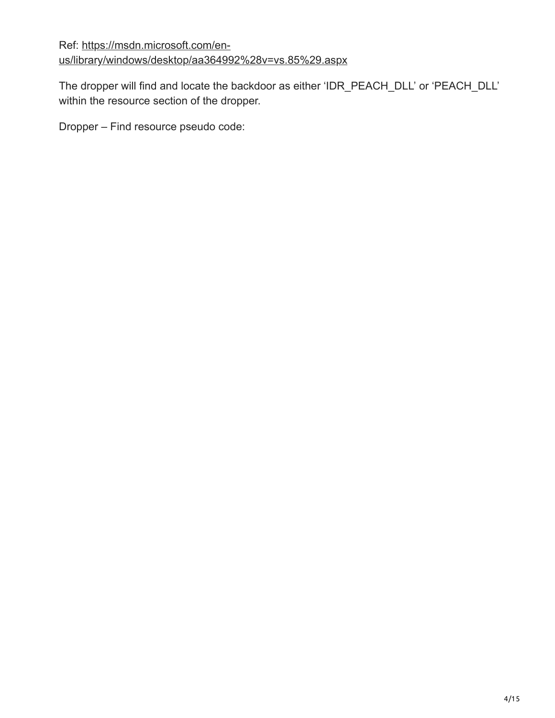Ref: https://msdn.microsoft.com/en[us/library/windows/desktop/aa364992%28v=vs.85%29.aspx](https://msdn.microsoft.com/en-us/library/windows/desktop/aa364992(v=vs.85).aspx)

The dropper will find and locate the backdoor as either 'IDR\_PEACH\_DLL' or 'PEACH\_DLL' within the resource section of the dropper.

Dropper – Find resource pseudo code: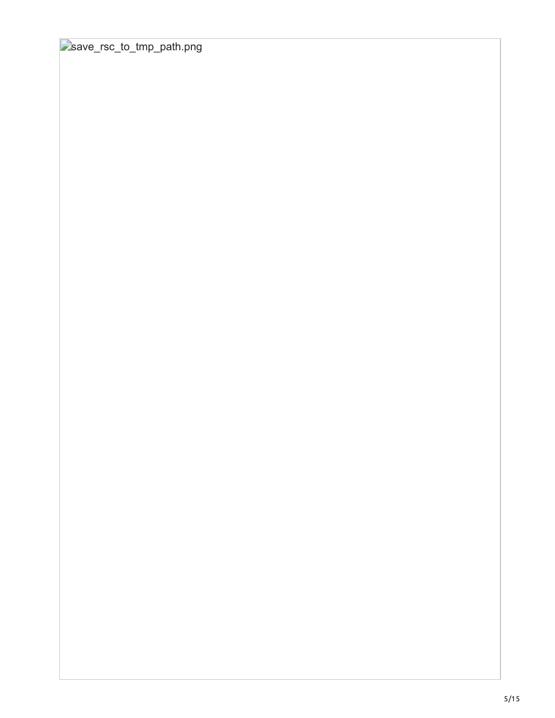save\_rsc\_to\_tmp\_path.png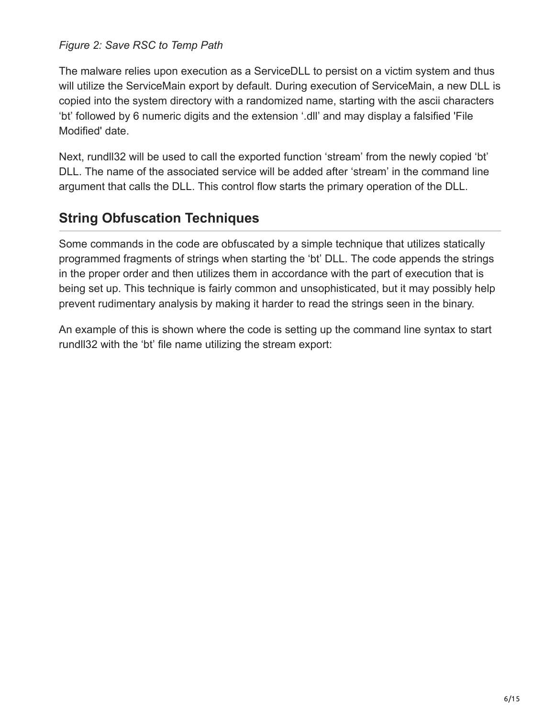#### *Figure 2: Save RSC to Temp Path*

The malware relies upon execution as a ServiceDLL to persist on a victim system and thus will utilize the ServiceMain export by default. During execution of ServiceMain, a new DLL is copied into the system directory with a randomized name, starting with the ascii characters 'bt' followed by 6 numeric digits and the extension '.dll' and may display a falsified 'File Modified' date.

Next, rundll32 will be used to call the exported function 'stream' from the newly copied 'bt' DLL. The name of the associated service will be added after 'stream' in the command line argument that calls the DLL. This control flow starts the primary operation of the DLL.

### **String Obfuscation Techniques**

Some commands in the code are obfuscated by a simple technique that utilizes statically programmed fragments of strings when starting the 'bt' DLL. The code appends the strings in the proper order and then utilizes them in accordance with the part of execution that is being set up. This technique is fairly common and unsophisticated, but it may possibly help prevent rudimentary analysis by making it harder to read the strings seen in the binary.

An example of this is shown where the code is setting up the command line syntax to start rundll32 with the 'bt' file name utilizing the stream export: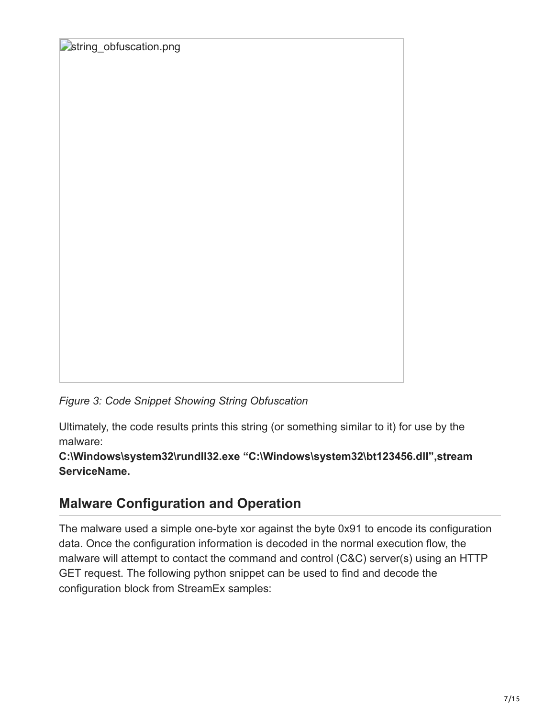**Estring** obfuscation.png

*Figure 3: Code Snippet Showing String Obfuscation*

Ultimately, the code results prints this string (or something similar to it) for use by the malware:

**C:\Windows\system32\rundll32.exe "C:\Windows\system32\bt123456.dll",stream ServiceName.**

### **Malware Configuration and Operation**

The malware used a simple one-byte xor against the byte 0x91 to encode its configuration data. Once the configuration information is decoded in the normal execution flow, the malware will attempt to contact the command and control (C&C) server(s) using an HTTP GET request. The following python snippet can be used to find and decode the configuration block from StreamEx samples: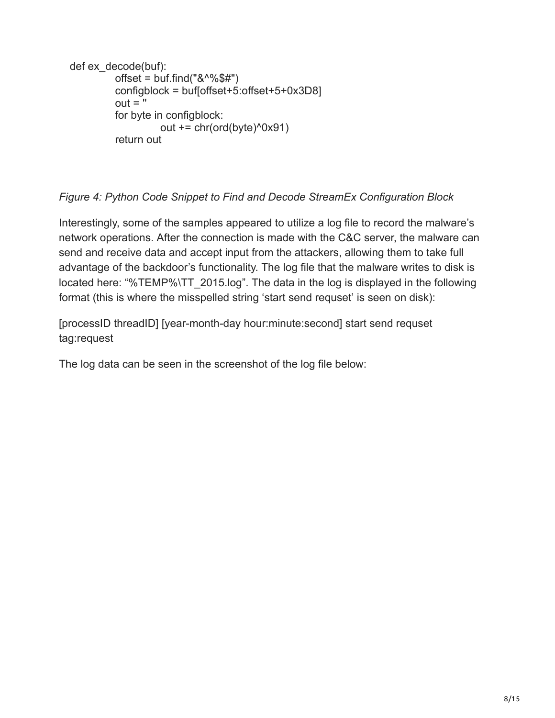```
def ex_decode(buf):
         offset = but.find("&@@f#") configblock = buf[offset+5:offset+5+0x3D8]
         out = " for byte in configblock:
                    out += chr(ord(byte)^0x91)
          return out
```
### *Figure 4: Python Code Snippet to Find and Decode StreamEx Configuration Block*

Interestingly, some of the samples appeared to utilize a log file to record the malware's network operations. After the connection is made with the C&C server, the malware can send and receive data and accept input from the attackers, allowing them to take full advantage of the backdoor's functionality. The log file that the malware writes to disk is located here: "%TEMP%\TT 2015.log". The data in the log is displayed in the following format (this is where the misspelled string 'start send requset' is seen on disk):

[processID threadID] [year-month-day hour:minute:second] start send requset tag:request

The log data can be seen in the screenshot of the log file below: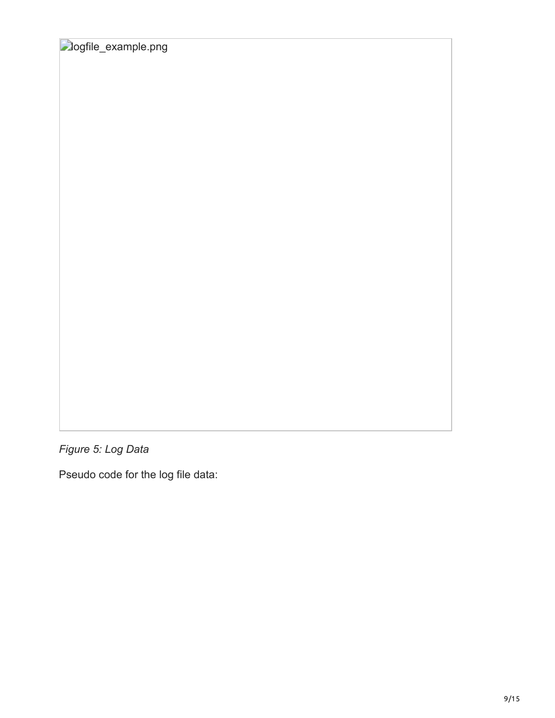**Dogfile\_example.png** 

*Figure 5: Log Data*

Pseudo code for the log file data: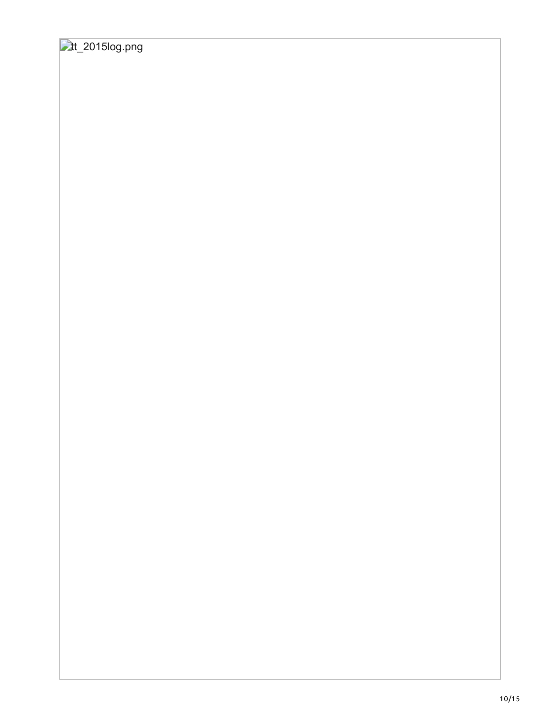## **tt\_2015log.png**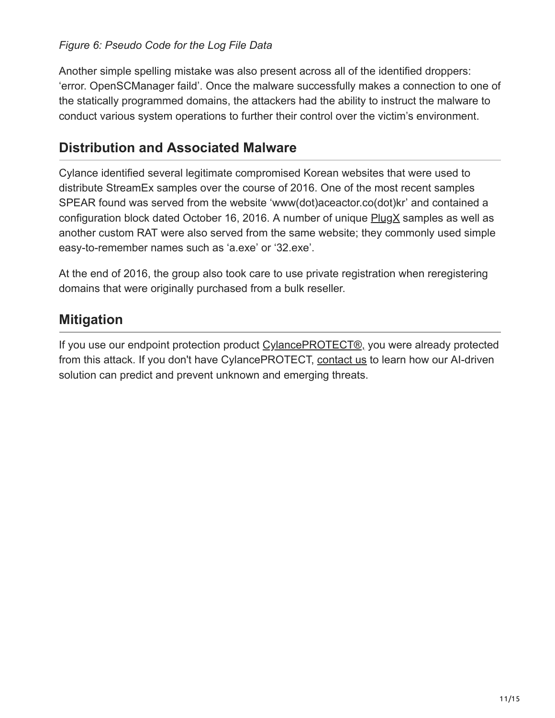### *Figure 6: Pseudo Code for the Log File Data*

Another simple spelling mistake was also present across all of the identified droppers: 'error. OpenSCManager faild'. Once the malware successfully makes a connection to one of the statically programmed domains, the attackers had the ability to instruct the malware to conduct various system operations to further their control over the victim's environment.

### **Distribution and Associated Malware**

Cylance identified several legitimate compromised Korean websites that were used to distribute StreamEx samples over the course of 2016. One of the most recent samples SPEAR found was served from the website 'www(dot)aceactor.co(dot)kr' and contained a configuration block dated October 16, 2016. A number of unique  $P\log X$  samples as well as another custom RAT were also served from the same website; they commonly used simple easy-to-remember names such as 'a.exe' or '32.exe'.

At the end of 2016, the group also took care to use private registration when reregistering domains that were originally purchased from a bulk reseller.

### **Mitigation**

If you use our endpoint protection product [CylancePROTECT®,](https://threatvector.cylance.com/cylance-vs-shell-crew-malware) you were already protected from this attack. If you don't have CylancePROTECT, [contact us](https://threatvector.cylance.com/contact-us) to learn how our AI-driven solution can predict and prevent unknown and emerging threats.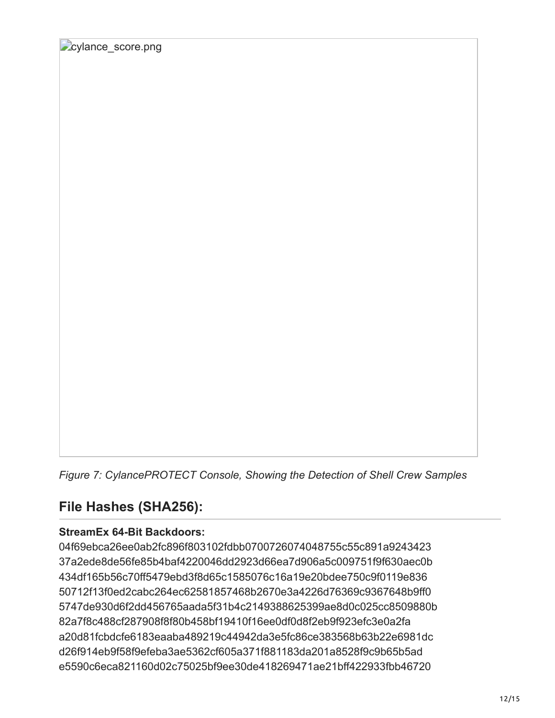*Figure 7: CylancePROTECT Console, Showing the Detection of Shell Crew Samples*

### **File Hashes (SHA256):**

#### **StreamEx 64-Bit Backdoors:**

04f69ebca26ee0ab2fc896f803102fdbb0700726074048755c55c891a9243423 37a2ede8de56fe85b4baf4220046dd2923d66ea7d906a5c009751f9f630aec0b 434df165b56c70ff5479ebd3f8d65c1585076c16a19e20bdee750c9f0119e836 50712f13f0ed2cabc264ec62581857468b2670e3a4226d76369c9367648b9ff0 5747de930d6f2dd456765aada5f31b4c2149388625399ae8d0c025cc8509880b 82a7f8c488cf287908f8f80b458bf19410f16ee0df0d8f2eb9f923efc3e0a2fa a20d81fcbdcfe6183eaaba489219c44942da3e5fc86ce383568b63b22e6981dc d26f914eb9f58f9efeba3ae5362cf605a371f881183da201a8528f9c9b65b5ad e5590c6eca821160d02c75025bf9ee30de418269471ae21bff422933fbb46720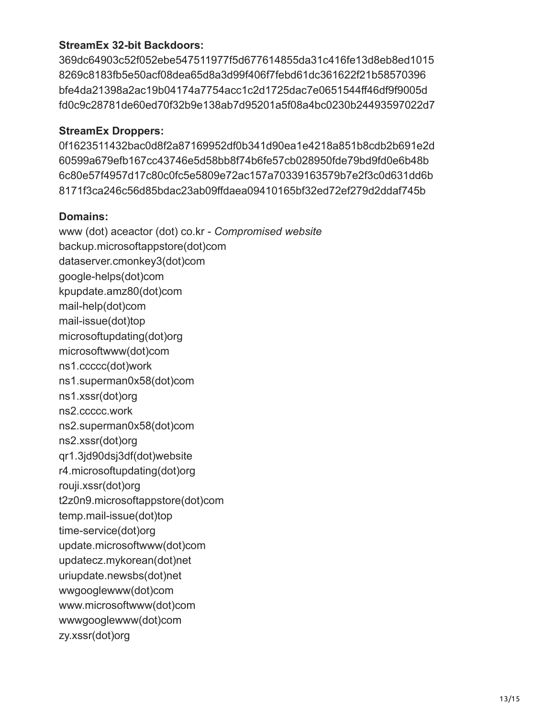#### **StreamEx 32-bit Backdoors:**

369dc64903c52f052ebe547511977f5d677614855da31c416fe13d8eb8ed1015 8269c8183fb5e50acf08dea65d8a3d99f406f7febd61dc361622f21b58570396 bfe4da21398a2ac19b04174a7754acc1c2d1725dac7e0651544ff46df9f9005d fd0c9c28781de60ed70f32b9e138ab7d95201a5f08a4bc0230b24493597022d7

#### **StreamEx Droppers:**

0f1623511432bac0d8f2a87169952df0b341d90ea1e4218a851b8cdb2b691e2d 60599a679efb167cc43746e5d58bb8f74b6fe57cb028950fde79bd9fd0e6b48b 6c80e57f4957d17c80c0fc5e5809e72ac157a70339163579b7e2f3c0d631dd6b 8171f3ca246c56d85bdac23ab09ffdaea09410165bf32ed72ef279d2ddaf745b

#### **Domains:**

www (dot) aceactor (dot) co.kr - *Compromised website* backup.microsoftappstore(dot)com dataserver.cmonkey3(dot)com google-helps(dot)com kpupdate.amz80(dot)com mail-help(dot)com mail-issue(dot)top microsoftupdating(dot)org microsoftwww(dot)com ns1.ccccc(dot)work ns1.superman0x58(dot)com ns1.xssr(dot)org ns2.ccccc.work ns2.superman0x58(dot)com ns2.xssr(dot)org qr1.3jd90dsj3df(dot)website r4.microsoftupdating(dot)org rouji.xssr(dot)org t2z0n9.microsoftappstore(dot)com temp.mail-issue(dot)top time-service(dot)org update.microsoftwww(dot)com updatecz.mykorean(dot)net uriupdate.newsbs(dot)net wwgooglewww(dot)com www.microsoftwww(dot)com wwwgooglewww(dot)com zy.xssr(dot)org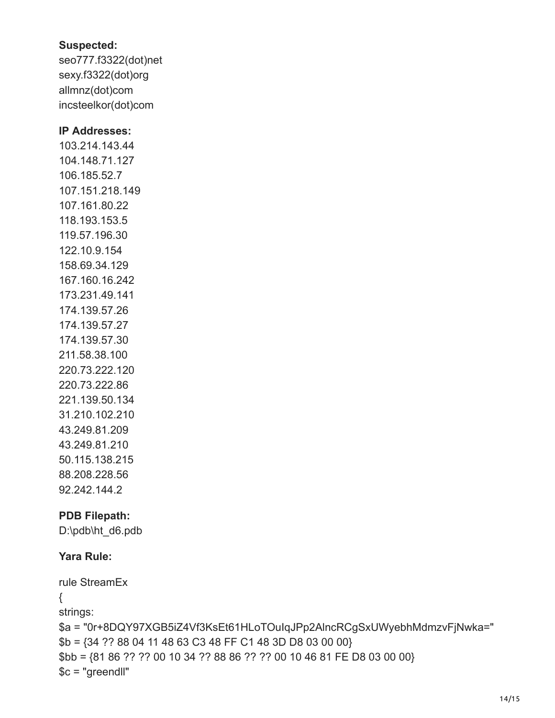#### **Suspected:**

seo777.f3322(dot)net sexy.f3322(dot)org allmnz(dot)com incsteelkor(dot)com

#### **IP Addresses:**

103.214.143.44 104.148.71.127 106.185.52.7 107.151.218.149 107.161.80.22 118.193.153.5 119.57.196.30 122.10.9.154 158.69.34.129 167.160.16.242 173.231.49.141 174.139.57.26 174.139.57.27 174.139.57.30 211.58.38.100 220.73.222.120 220.73.222.86 221.139.50.134 31.210.102.210 43.249.81.209 43.249.81.210 50.115.138.215 88.208.228.56 92.242.144.2

### **PDB Filepath:**

D:\pdb\ht\_d6.pdb

### **Yara Rule:**

```
rule StreamEx
{
strings:
$a = "0r+8DQY97XGB5iZ4Vf3KsEt61HLoTOuIqJPp2AlncRCgSxUWyebhMdmzvFjNwka="
$b = {34 ?? 88 04 11 48 63 C3 48 FF C1 48 3D D8 03 00 00}
$bb = {81 86 ?? ?? 00 10 34 ?? 88 86 ?? ?? 00 10 46 81 FE D8 03 00 00}
$c = "greendll"
```